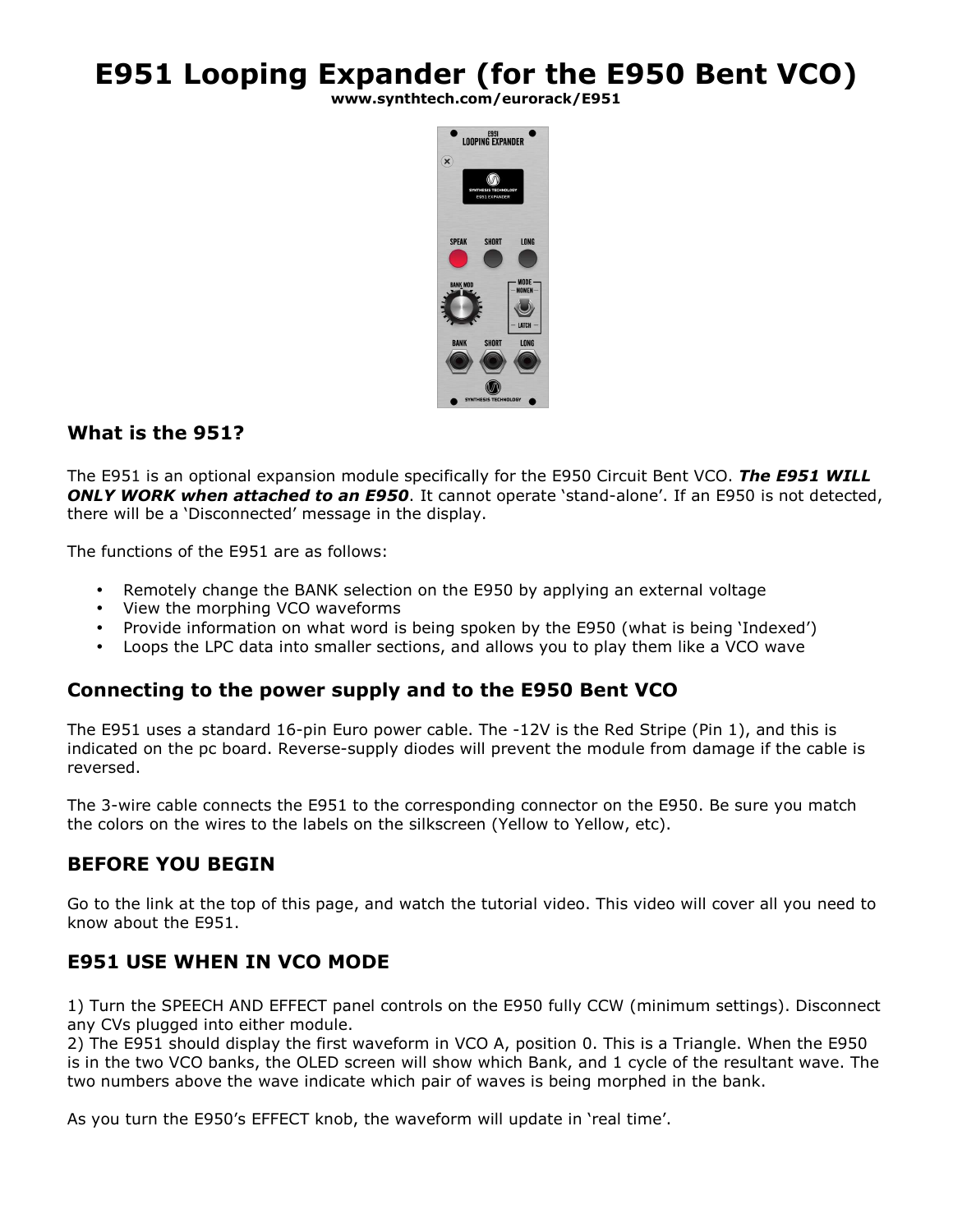# **E951 Looping Expander (for the E950 Bent VCO)**

**www.synthtech.com/eurorack/E951** 



## **What is the 951?**

The E951 is an optional expansion module specifically for the E950 Circuit Bent VCO. *The E951 WILL ONLY WORK when attached to an E950*. It cannot operate 'stand-alone'. If an E950 is not detected, there will be a 'Disconnected' message in the display.

The functions of the E951 are as follows:

- Remotely change the BANK selection on the E950 by applying an external voltage
- View the morphing VCO waveforms
- Provide information on what word is being spoken by the E950 (what is being 'Indexed')
- Loops the LPC data into smaller sections, and allows you to play them like a VCO wave

#### **Connecting to the power supply and to the E950 Bent VCO**

The E951 uses a standard 16-pin Euro power cable. The -12V is the Red Stripe (Pin 1), and this is indicated on the pc board. Reverse-supply diodes will prevent the module from damage if the cable is reversed.

The 3-wire cable connects the E951 to the corresponding connector on the E950. Be sure you match the colors on the wires to the labels on the silkscreen (Yellow to Yellow, etc).

## **BEFORE YOU BEGIN**

Go to the link at the top of this page, and watch the tutorial video. This video will cover all you need to know about the E951.

## **E951 USE WHEN IN VCO MODE**

1) Turn the SPEECH AND EFFECT panel controls on the E950 fully CCW (minimum settings). Disconnect any CVs plugged into either module.

2) The E951 should display the first waveform in VCO A, position 0. This is a Triangle. When the E950 is in the two VCO banks, the OLED screen will show which Bank, and 1 cycle of the resultant wave. The two numbers above the wave indicate which pair of waves is being morphed in the bank.

As you turn the E950's EFFECT knob, the waveform will update in 'real time'.